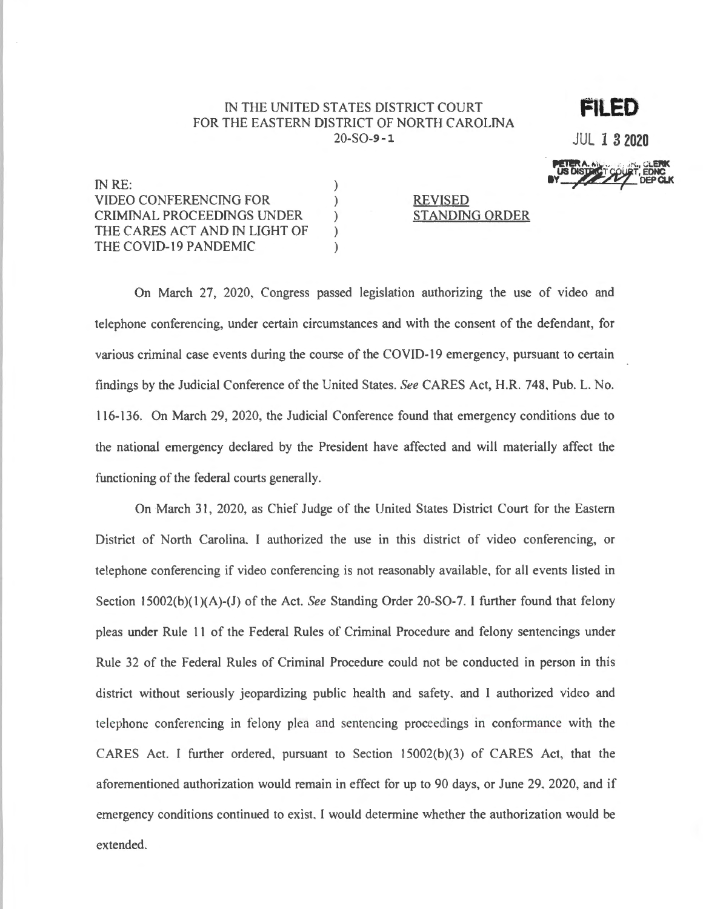## IN THE UNITED STATES DISTRICT COURT FOR THE EASTERN DISTRICT OF NORTH CAROLINA  $20-SO-9-1$

 $\lambda$ 

 $\lambda$ 

 $\mathcal{L}$ 

 $\mathcal{L}$ 

 $\mathcal{L}$ 

**JUL 1 3 2020** 

FILED

IN RE: **VIDEO CONFERENCING FOR** CRIMINAL PROCEEDINGS UNDER THE CARES ACT AND IN LIGHT OF THE COVID-19 PANDEMIC

**REVISED STANDING ORDER** 

On March 27, 2020, Congress passed legislation authorizing the use of video and telephone conferencing, under certain circumstances and with the consent of the defendant, for various criminal case events during the course of the COVID-19 emergency, pursuant to certain findings by the Judicial Conference of the United States. See CARES Act, H.R. 748, Pub. L. No. 116-136. On March 29, 2020, the Judicial Conference found that emergency conditions due to the national emergency declared by the President have affected and will materially affect the functioning of the federal courts generally.

On March 31, 2020, as Chief Judge of the United States District Court for the Eastern District of North Carolina, I authorized the use in this district of video conferencing, or telephone conferencing if video conferencing is not reasonably available, for all events listed in Section 15002(b)(1)(A)-(J) of the Act. See Standing Order 20-SO-7. I further found that felony pleas under Rule 11 of the Federal Rules of Criminal Procedure and felony sentencings under Rule 32 of the Federal Rules of Criminal Procedure could not be conducted in person in this district without seriously jeopardizing public health and safety, and I authorized video and telephone conferencing in felony plea and sentencing proceedings in conformance with the CARES Act. I further ordered, pursuant to Section 15002(b)(3) of CARES Act, that the aforementioned authorization would remain in effect for up to 90 days, or June 29, 2020, and if emergency conditions continued to exist, I would determine whether the authorization would be extended.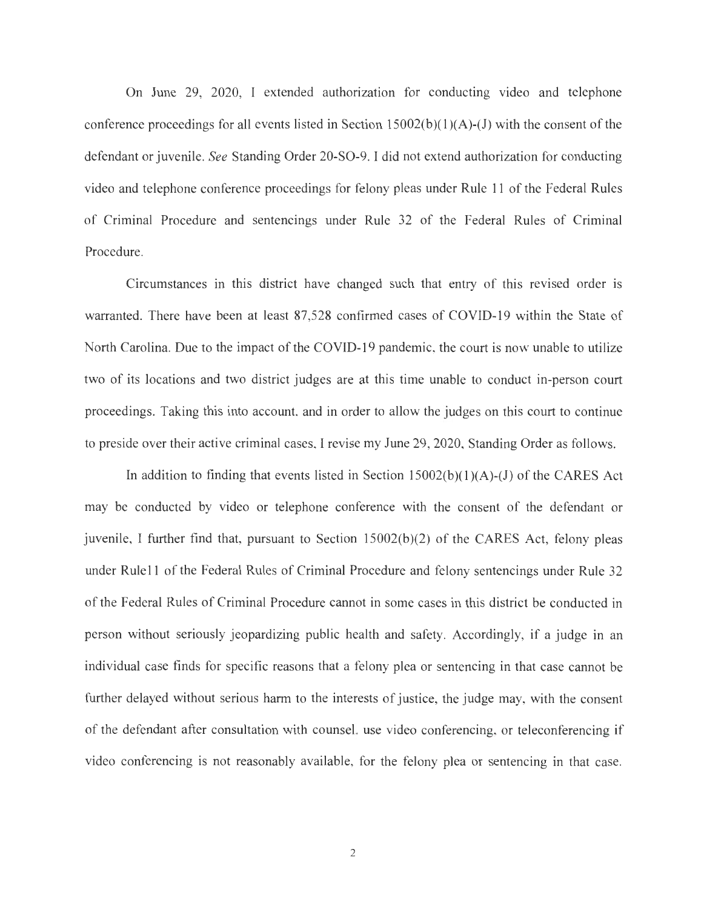On June 29, 2020, I extended authorization for conducting video and telephone conference proceedings for all events listed in Section  $15002(b)(1)(A)-(J)$  with the consent of the defendant or juvenile. *See* Standing Order 20-SO-9. I did not extend authorization for conducting video and telephone conference proceedings for felony pleas under Rule 11 of the Federal Rules of Criminal Procedure and sentencings under Rule 32 of the Federal Rules of Criminal Procedure.

Circumstances in this district have changed such that entry of this revised order is warranted. There have been at least 87,528 confirmed cases of COVID-19 within the State of North Carolina. Due to the impact of the COVID-19 pandemic, the court is now unable to utilize two of its locations and two district judges are at this time unable to conduct in-person court proceedings. Taking this into account, and in order to allow the judges on this court to continue to preside over their active criminal cases, I revise my June 29, 2020, Standing Order as follows.

In addition to finding that events listed in Section  $15002(b)(1)(A)-(J)$  of the CARES Act may be conducted by video or telephone conference with the consent of the defendant or juvenile, I further find that, pursuant to Section 15002(b)(2) of the CARES Act, felony pleas under Rule 11 of the Federal Rules of Criminal Procedure and felony sentencings under Rule 32 of the Federal Rules of Criminal Procedure cannot in some cases in this district be conducted in person without seriously jeopardizing public health and safety. Accordingly, if a judge in an individual case finds for specific reasons that a felony plea or sentencing in that case cannot be further delayed without serious harm to the interests of justice, the judge may, with the consent of the defendant after consultation with counsel, use video conferencing, or teleconferencing if video conferencing is not reasonably available, for the felony plea or sentencing in that case.